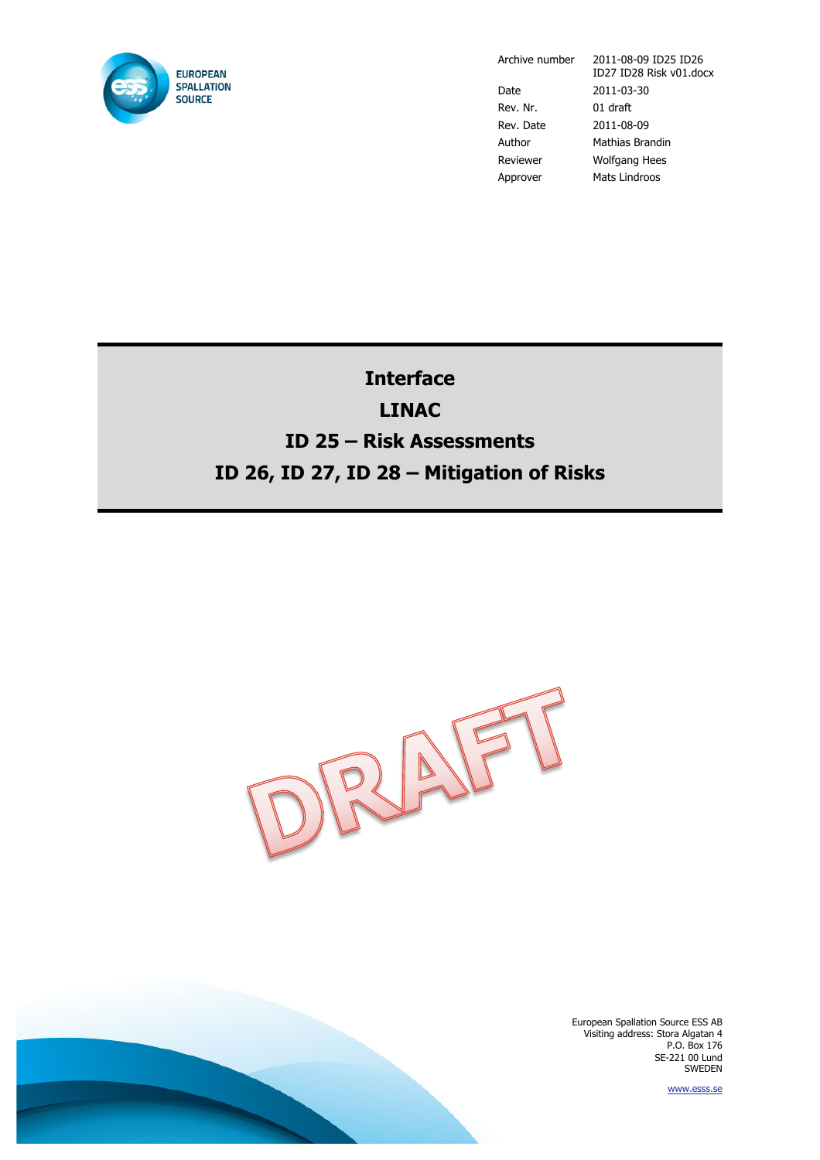

Archive number 2011-08-09 ID25 ID26

ID27 ID28 Risk v01.docx Date 2011-03-30 Rev. Nr. 01 draft Rev. Date 2011-08-09 Author Mathias Brandin Reviewer Wolfgang Hees Approver Mats Lindroos

**Interface LINAC ID 25 – Risk Assessments ID 26, ID 27, ID 28 – Mitigation of Risks**



European Spallation Source ESS AB Visiting address: Stora Algatan 4 P.O. Box 176 SE-221 00 Lund SWEDEN

www.esss.se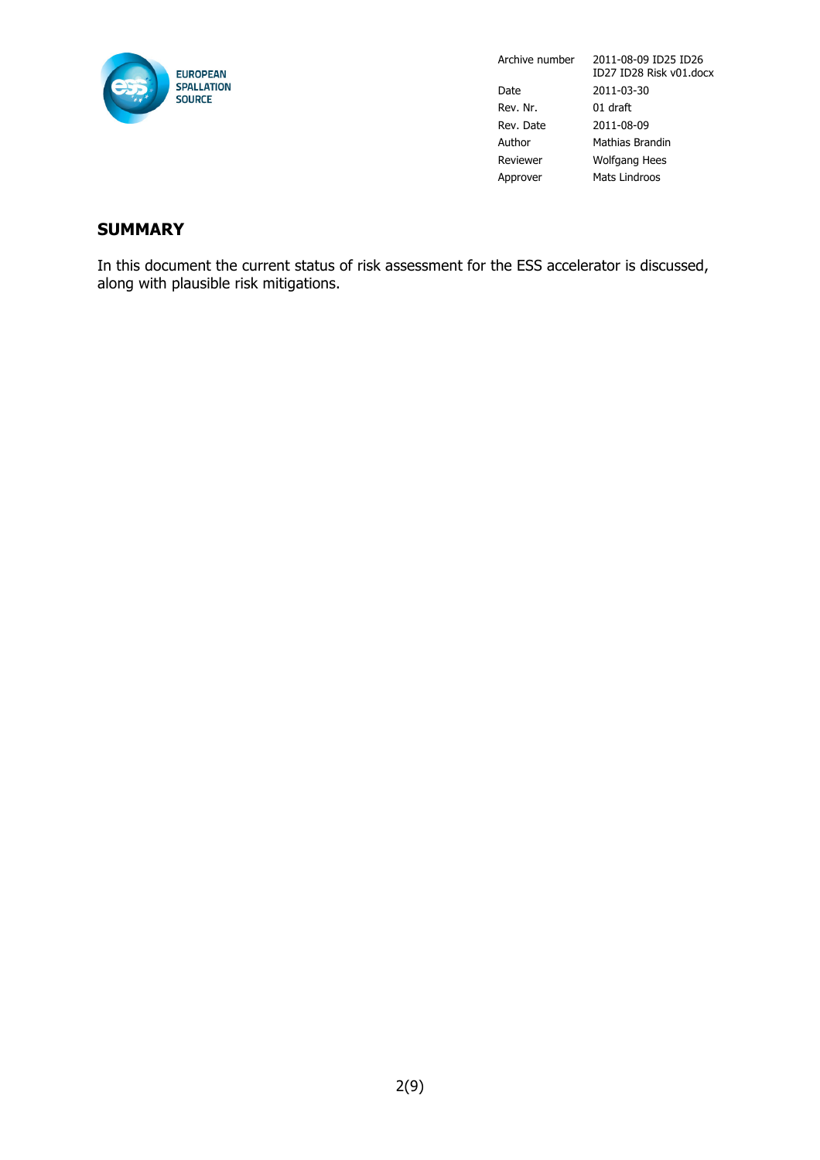

### **SUMMARY**

In this document the current status of risk assessment for the ESS accelerator is discussed, along with plausible risk mitigations.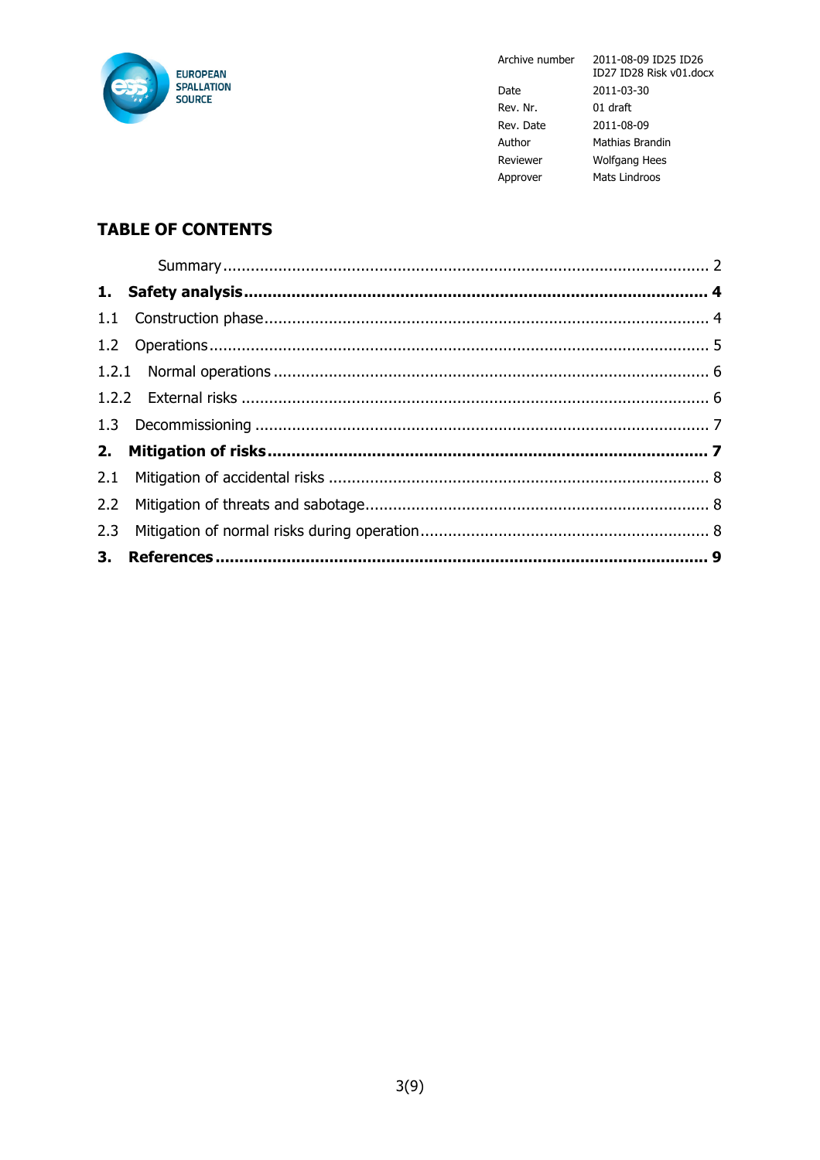

Archive number

|           | ,,, |
|-----------|-----|
| Date      | 20  |
| Rev. Nr.  | 01  |
| Rev. Date | 20  |
| Author    | Ma  |
| Reviewer  | W   |
| Approver  | Ma  |

2011-08-09 ID25 ID26<br>ID27 ID28 Risk v01.docx 011-03-30  $dr$ aft 011-08-09 athias Brandin olfgang Hees ats Lindroos

# **TABLE OF CONTENTS**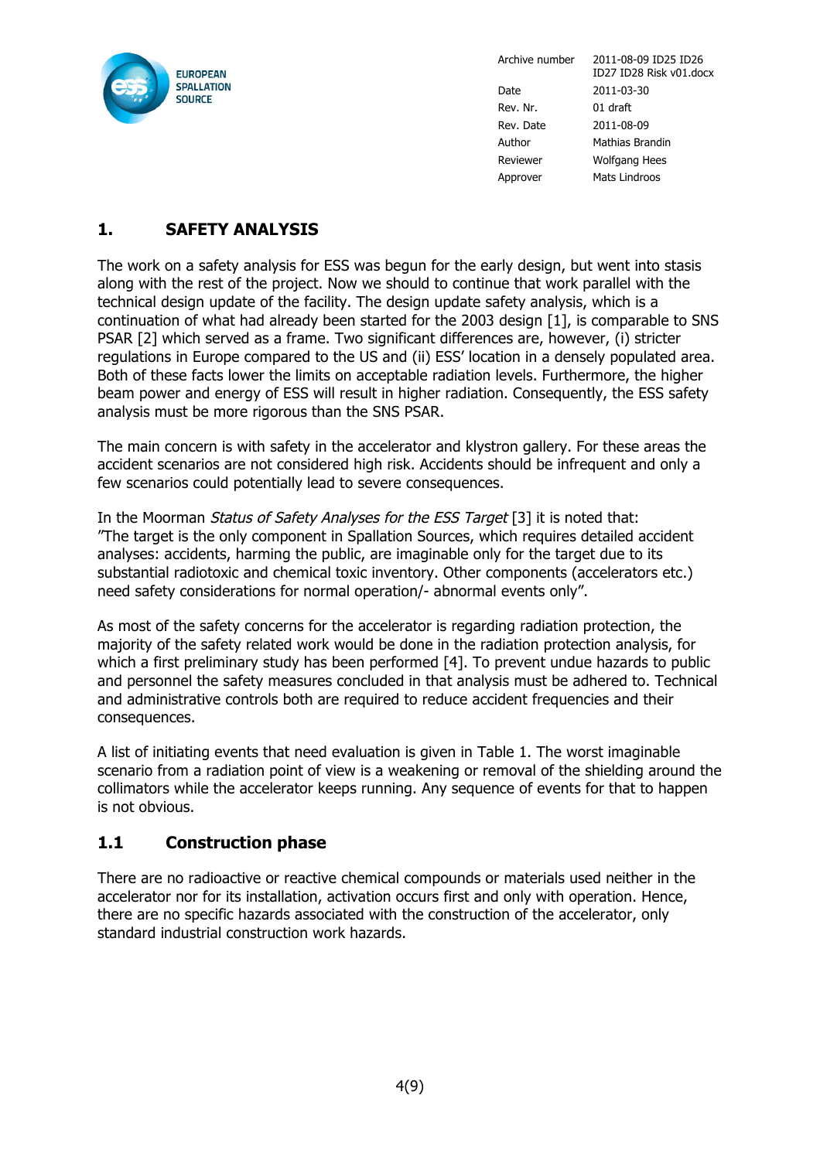

# **1. SAFETY ANALYSIS**

The work on a safety analysis for ESS was begun for the early design, but went into stasis along with the rest of the project. Now we should to continue that work parallel with the technical design update of the facility. The design update safety analysis, which is a continuation of what had already been started for the 2003 design [1], is comparable to SNS PSAR [2] which served as a frame. Two significant differences are, however, (i) stricter regulations in Europe compared to the US and (ii) ESS' location in a densely populated area. Both of these facts lower the limits on acceptable radiation levels. Furthermore, the higher beam power and energy of ESS will result in higher radiation. Consequently, the ESS safety analysis must be more rigorous than the SNS PSAR.

The main concern is with safety in the accelerator and klystron gallery. For these areas the accident scenarios are not considered high risk. Accidents should be infrequent and only a few scenarios could potentially lead to severe consequences.

In the Moorman Status of Safety Analyses for the ESS Target [3] it is noted that: "The target is the only component in Spallation Sources, which requires detailed accident analyses: accidents, harming the public, are imaginable only for the target due to its substantial radiotoxic and chemical toxic inventory. Other components (accelerators etc.) need safety considerations for normal operation/- abnormal events only".

As most of the safety concerns for the accelerator is regarding radiation protection, the majority of the safety related work would be done in the radiation protection analysis, for which a first preliminary study has been performed [4]. To prevent undue hazards to public and personnel the safety measures concluded in that analysis must be adhered to. Technical and administrative controls both are required to reduce accident frequencies and their consequences.

A list of initiating events that need evaluation is given in Table 1. The worst imaginable scenario from a radiation point of view is a weakening or removal of the shielding around the collimators while the accelerator keeps running. Any sequence of events for that to happen is not obvious.

### **1.1 Construction phase**

There are no radioactive or reactive chemical compounds or materials used neither in the accelerator nor for its installation, activation occurs first and only with operation. Hence, there are no specific hazards associated with the construction of the accelerator, only standard industrial construction work hazards.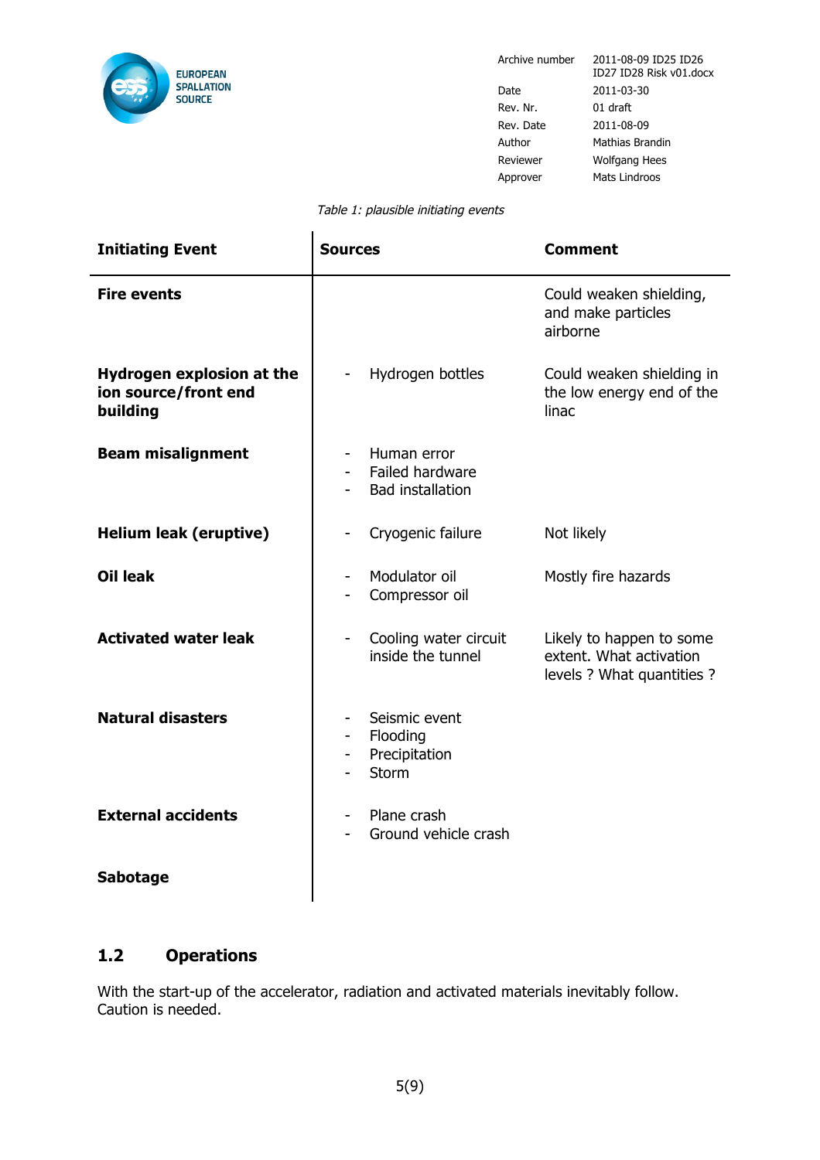

Ĭ.

Archive number 2011-08-09 ID25 ID26 ID27 ID28 Risk v01.docx Date 2011-03-30 Rev. Nr. 01 draft Rev. Date 2011-08-09 Author Mathias Brandin Reviewer Wolfgang Hees Approver Mats Lindroos

٠

#### Table 1: plausible initiating events

| <b>Initiating Event</b>                                       | <b>Sources</b>                                                               | <b>Comment</b>                                                                    |
|---------------------------------------------------------------|------------------------------------------------------------------------------|-----------------------------------------------------------------------------------|
| <b>Fire events</b>                                            |                                                                              | Could weaken shielding,<br>and make particles<br>airborne                         |
| Hydrogen explosion at the<br>ion source/front end<br>building | Hydrogen bottles                                                             | Could weaken shielding in<br>the low energy end of the<br>linac                   |
| <b>Beam misalignment</b>                                      | Human error<br>Failed hardware<br><b>Bad installation</b>                    |                                                                                   |
| <b>Helium leak (eruptive)</b>                                 | Cryogenic failure                                                            | Not likely                                                                        |
| <b>Oil leak</b>                                               | Modulator oil<br>$\qquad \qquad \blacksquare$<br>Compressor oil              | Mostly fire hazards                                                               |
| <b>Activated water leak</b>                                   | Cooling water circuit<br>inside the tunnel                                   | Likely to happen to some<br>extent. What activation<br>levels ? What quantities ? |
| <b>Natural disasters</b>                                      | Seismic event<br>Flooding<br>$\blacksquare$<br>Precipitation<br><b>Storm</b> |                                                                                   |
| <b>External accidents</b>                                     | Plane crash<br>Ground vehicle crash                                          |                                                                                   |
| <b>Sabotage</b>                                               |                                                                              |                                                                                   |

### **1.2 Operations**

With the start-up of the accelerator, radiation and activated materials inevitably follow. Caution is needed.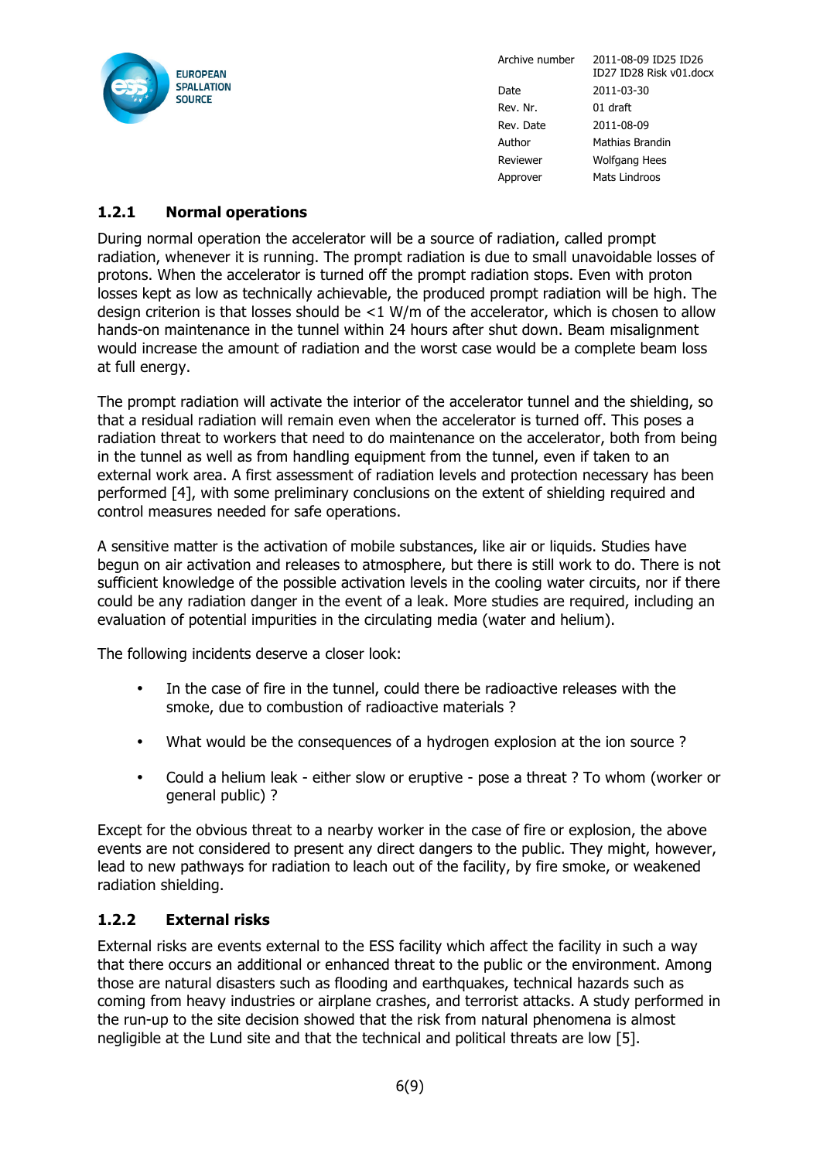

#### **1.2.1 Normal operations**

During normal operation the accelerator will be a source of radiation, called prompt radiation, whenever it is running. The prompt radiation is due to small unavoidable losses of protons. When the accelerator is turned off the prompt radiation stops. Even with proton losses kept as low as technically achievable, the produced prompt radiation will be high. The design criterion is that losses should be  $<1$  W/m of the accelerator, which is chosen to allow hands-on maintenance in the tunnel within 24 hours after shut down. Beam misalignment would increase the amount of radiation and the worst case would be a complete beam loss at full energy.

The prompt radiation will activate the interior of the accelerator tunnel and the shielding, so that a residual radiation will remain even when the accelerator is turned off. This poses a radiation threat to workers that need to do maintenance on the accelerator, both from being in the tunnel as well as from handling equipment from the tunnel, even if taken to an external work area. A first assessment of radiation levels and protection necessary has been performed [4], with some preliminary conclusions on the extent of shielding required and control measures needed for safe operations.

A sensitive matter is the activation of mobile substances, like air or liquids. Studies have begun on air activation and releases to atmosphere, but there is still work to do. There is not sufficient knowledge of the possible activation levels in the cooling water circuits, nor if there could be any radiation danger in the event of a leak. More studies are required, including an evaluation of potential impurities in the circulating media (water and helium).

The following incidents deserve a closer look:

- In the case of fire in the tunnel, could there be radioactive releases with the smoke, due to combustion of radioactive materials ?
- What would be the consequences of a hydrogen explosion at the ion source ?
- Could a helium leak either slow or eruptive pose a threat ? To whom (worker or general public) ?

Except for the obvious threat to a nearby worker in the case of fire or explosion, the above events are not considered to present any direct dangers to the public. They might, however, lead to new pathways for radiation to leach out of the facility, by fire smoke, or weakened radiation shielding.

#### **1.2.2 External risks**

External risks are events external to the ESS facility which affect the facility in such a way that there occurs an additional or enhanced threat to the public or the environment. Among those are natural disasters such as flooding and earthquakes, technical hazards such as coming from heavy industries or airplane crashes, and terrorist attacks. A study performed in the run-up to the site decision showed that the risk from natural phenomena is almost negligible at the Lund site and that the technical and political threats are low [5].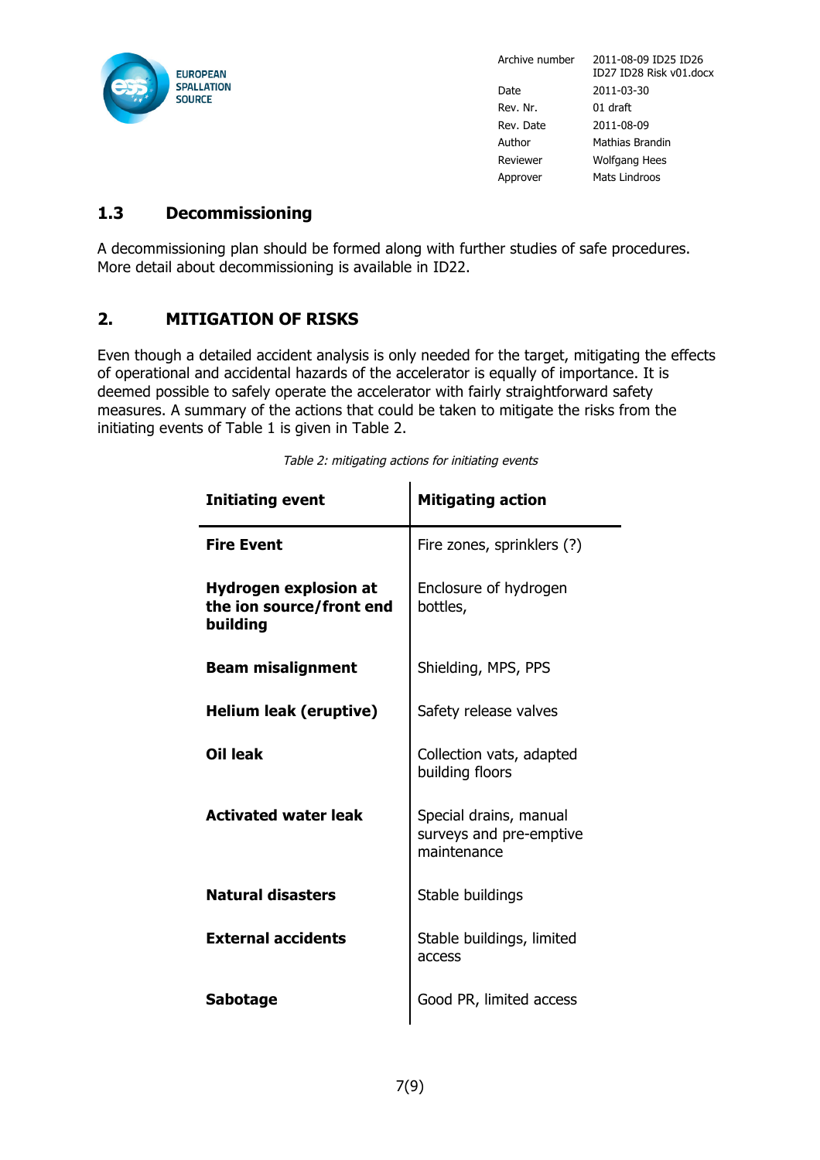

# **1.3 Decommissioning**

A decommissioning plan should be formed along with further studies of safe procedures. More detail about decommissioning is available in ID22.

# **2. MITIGATION OF RISKS**

Even though a detailed accident analysis is only needed for the target, mitigating the effects of operational and accidental hazards of the accelerator is equally of importance. It is deemed possible to safely operate the accelerator with fairly straightforward safety measures. A summary of the actions that could be taken to mitigate the risks from the initiating events of Table 1 is given in Table 2.

| <b>Initiating event</b>                                              | <b>Mitigating action</b>                                         |  |
|----------------------------------------------------------------------|------------------------------------------------------------------|--|
| <b>Fire Event</b>                                                    | Fire zones, sprinklers (?)                                       |  |
| <b>Hydrogen explosion at</b><br>the ion source/front end<br>building | Enclosure of hydrogen<br>bottles,                                |  |
| <b>Beam misalignment</b>                                             | Shielding, MPS, PPS                                              |  |
| <b>Helium leak (eruptive)</b>                                        | Safety release valves                                            |  |
| Oil leak                                                             | Collection vats, adapted<br>building floors                      |  |
| <b>Activated water leak</b>                                          | Special drains, manual<br>surveys and pre-emptive<br>maintenance |  |
| <b>Natural disasters</b>                                             | Stable buildings                                                 |  |
| <b>External accidents</b>                                            | Stable buildings, limited<br>access                              |  |
| <b>Sabotage</b>                                                      | Good PR, limited access                                          |  |

Table 2: mitigating actions for initiating events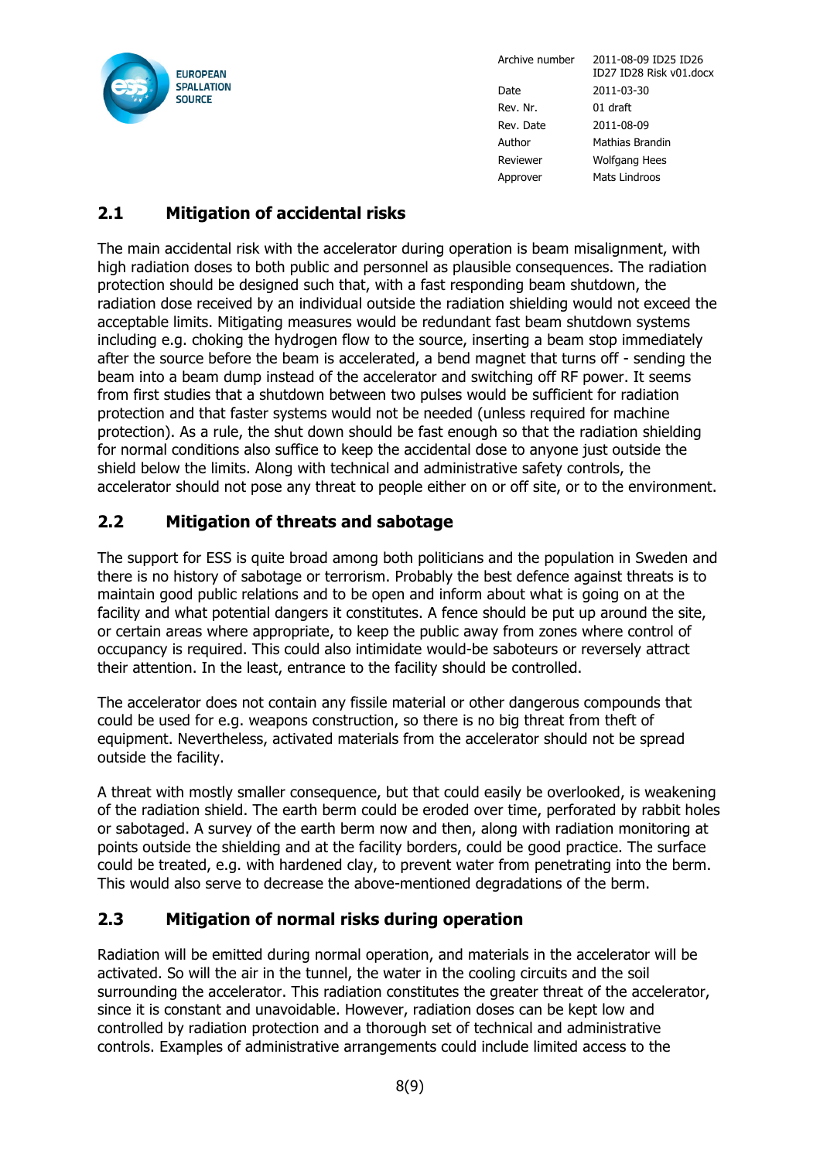

# **2.1 Mitigation of accidental risks**

The main accidental risk with the accelerator during operation is beam misalignment, with high radiation doses to both public and personnel as plausible consequences. The radiation protection should be designed such that, with a fast responding beam shutdown, the radiation dose received by an individual outside the radiation shielding would not exceed the acceptable limits. Mitigating measures would be redundant fast beam shutdown systems including e.g. choking the hydrogen flow to the source, inserting a beam stop immediately after the source before the beam is accelerated, a bend magnet that turns off - sending the beam into a beam dump instead of the accelerator and switching off RF power. It seems from first studies that a shutdown between two pulses would be sufficient for radiation protection and that faster systems would not be needed (unless required for machine protection). As a rule, the shut down should be fast enough so that the radiation shielding for normal conditions also suffice to keep the accidental dose to anyone just outside the shield below the limits. Along with technical and administrative safety controls, the accelerator should not pose any threat to people either on or off site, or to the environment.

# **2.2 Mitigation of threats and sabotage**

The support for ESS is quite broad among both politicians and the population in Sweden and there is no history of sabotage or terrorism. Probably the best defence against threats is to maintain good public relations and to be open and inform about what is going on at the facility and what potential dangers it constitutes. A fence should be put up around the site, or certain areas where appropriate, to keep the public away from zones where control of occupancy is required. This could also intimidate would-be saboteurs or reversely attract their attention. In the least, entrance to the facility should be controlled.

The accelerator does not contain any fissile material or other dangerous compounds that could be used for e.g. weapons construction, so there is no big threat from theft of equipment. Nevertheless, activated materials from the accelerator should not be spread outside the facility.

A threat with mostly smaller consequence, but that could easily be overlooked, is weakening of the radiation shield. The earth berm could be eroded over time, perforated by rabbit holes or sabotaged. A survey of the earth berm now and then, along with radiation monitoring at points outside the shielding and at the facility borders, could be good practice. The surface could be treated, e.g. with hardened clay, to prevent water from penetrating into the berm. This would also serve to decrease the above-mentioned degradations of the berm.

### **2.3 Mitigation of normal risks during operation**

Radiation will be emitted during normal operation, and materials in the accelerator will be activated. So will the air in the tunnel, the water in the cooling circuits and the soil surrounding the accelerator. This radiation constitutes the greater threat of the accelerator, since it is constant and unavoidable. However, radiation doses can be kept low and controlled by radiation protection and a thorough set of technical and administrative controls. Examples of administrative arrangements could include limited access to the